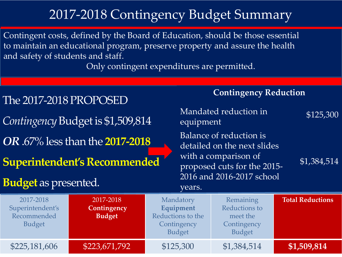## 2017-2018 Contingency Budget Summary

Contingent costs, defined by the Board of Education, should be those essential to maintain an educational program, preserve property and assure the health and safety of students and staff.

Only contingent expenditures are permitted.

| Mandated reduction in<br>Contingency Budget is \$1,509,814<br>equipment                                                                                                                                                                                             | <b>Contingency Reduction</b> |  |  |  |  |
|---------------------------------------------------------------------------------------------------------------------------------------------------------------------------------------------------------------------------------------------------------------------|------------------------------|--|--|--|--|
|                                                                                                                                                                                                                                                                     | \$125,300                    |  |  |  |  |
| Balance of reduction is<br><b>OR</b> .67% less than the <b>2017-2018</b><br>detailed on the next slides<br>with a comparison of<br><b>Superintendent's Recommended</b><br>proposed cuts for the 2015-                                                               | \$1,384,514                  |  |  |  |  |
| 2016 and 2016-2017 school<br><b>Budget</b> as presented.<br>years.                                                                                                                                                                                                  |                              |  |  |  |  |
| 2017-2018<br>2017-2018<br>Remaining<br>Mandatory<br>Equipment<br>Reductions to<br>Superintendent's<br>Contingency<br>Recommended<br>Reductions to the<br><b>Budget</b><br>meet the<br><b>Budget</b><br>Contingency<br>Contingency<br><b>Budget</b><br><b>Budget</b> | <b>Total Reductions</b>      |  |  |  |  |
| \$125,300<br>\$223,671,792<br>\$1,384,514<br>\$225,181,606                                                                                                                                                                                                          | \$1,509,814                  |  |  |  |  |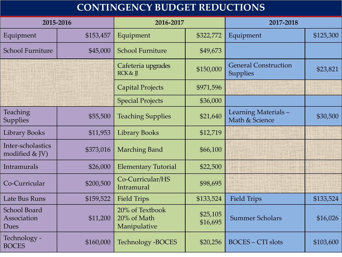## **CONTINGENCY BUDGET REDUCTIONS**

| 2015-2016                                  |           | 2016-2017                                      |                      | 2017-2018                                      |           |
|--------------------------------------------|-----------|------------------------------------------------|----------------------|------------------------------------------------|-----------|
| Equipment                                  | \$153,457 | Equipment                                      | \$322,772            | Equipment                                      | \$125,300 |
| <b>School Furniture</b>                    | \$45,000  | <b>School Furniture</b>                        | \$49,673             |                                                |           |
|                                            |           | Cafeteria upgrades<br><b>RCK &amp; ∏</b>       | \$150,000            | <b>General Construction</b><br><b>Supplies</b> | \$23,821  |
|                                            |           | <b>Capital Projects</b>                        | \$971,596            |                                                |           |
|                                            |           | <b>Special Projects</b>                        | \$36,000             |                                                |           |
| Teaching<br>Supplies                       | \$55,500  | <b>Teaching Supplies</b>                       | \$21,640             | Learning Materials-<br>Math & Science          | \$30,500  |
| <b>Library Books</b>                       | \$11,953  | <b>Library Books</b>                           | \$12,719             |                                                |           |
| Inter-scholastics<br>modified $&$ JV)      | \$373,016 | <b>Marching Band</b>                           | \$66,100             |                                                |           |
| Intramurals                                | \$26,000  | <b>Elementary Tutorial</b>                     | \$22,500             |                                                |           |
| Co-Curricular                              | \$200,500 | Co-Curricular/HS<br>Intramural                 | \$98,695             |                                                |           |
| Late Bus Runs                              | \$159,522 | <b>Field Trips</b>                             | \$133,524            | <b>Field Trips</b>                             | \$133,524 |
| <b>School Board</b><br>Association<br>Dues | \$11,200  | 20% of Textbook<br>20% of Math<br>Manipulative | \$25,105<br>\$16,695 | <b>Summer Scholars</b>                         | \$16,026  |
| Technology -<br><b>BOCES</b>               | \$160,000 | Technology - BOCES                             | \$20,256             | <b>BOCES - CTI slots</b>                       | \$103,600 |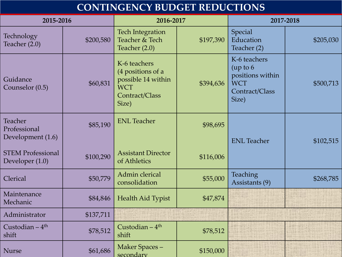## **CONTINGENCY BUDGET REDUCTIONS**

| 2015-2016                                    |           | 2016-2017                                                                                        |           | 2017-2018                                                                             |           |
|----------------------------------------------|-----------|--------------------------------------------------------------------------------------------------|-----------|---------------------------------------------------------------------------------------|-----------|
| Technology<br>Teacher (2.0)                  | \$200,580 | <b>Tech Integration</b><br>Teacher & Tech<br>Teacher $(2.0)$                                     | \$197,390 | Special<br>Education<br>Teacher (2)                                                   | \$205,030 |
| Guidance<br>Counselor (0.5)                  | \$60,831  | K-6 teachers<br>(4 positions of a<br>possible 14 within<br><b>WCT</b><br>Contract/Class<br>Size) | \$394,636 | K-6 teachers<br>(up to 6<br>positions within<br><b>WCT</b><br>Contract/Class<br>Size) | \$500,713 |
| Teacher<br>Professional<br>Development (1.6) | \$85,190  | <b>ENL</b> Teacher                                                                               | \$98,695  | <b>ENL Teacher</b>                                                                    | \$102,515 |
| <b>STEM Professional</b><br>Developer (1.0)  | \$100,290 | <b>Assistant Director</b><br>of Athletics                                                        | \$116,006 |                                                                                       |           |
| Clerical                                     | \$50,779  | Admin clerical<br>consolidation                                                                  | \$55,000  | <b>Teaching</b><br>Assistants (9)                                                     | \$268,785 |
| Maintenance<br>Mechanic                      | \$84,846  | Health Aid Typist                                                                                | \$47,874  |                                                                                       |           |
| Administrator                                | \$137,711 |                                                                                                  |           |                                                                                       |           |
| Custodian $-4$ <sup>th</sup><br>shift        | \$78,512  | Custodian $-4$ <sup>th</sup><br>shift                                                            | \$78,512  |                                                                                       |           |
| <b>Nurse</b>                                 | \$61,686  | Maker Spaces-<br>secondary                                                                       | \$150,000 |                                                                                       |           |